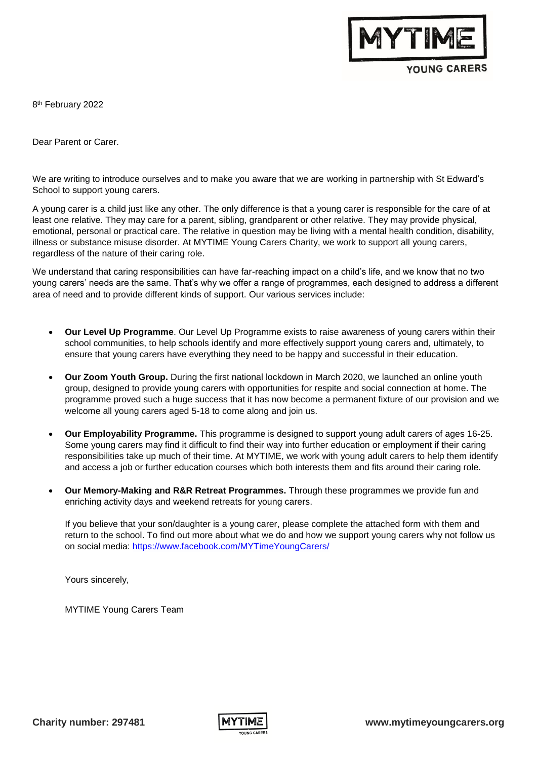

YOUNG CARERS

8<sup>th</sup> February 2022

Dear Parent or Carer.

We are writing to introduce ourselves and to make you aware that we are working in partnership with St Edward's School to support young carers.

A young carer is a child just like any other. The only difference is that a young carer is responsible for the care of at least one relative. They may care for a parent, sibling, grandparent or other relative. They may provide physical, emotional, personal or practical care. The relative in question may be living with a mental health condition, disability, illness or substance misuse disorder. At MYTIME Young Carers Charity, we work to support all young carers, regardless of the nature of their caring role.

We understand that caring responsibilities can have far-reaching impact on a child's life, and we know that no two young carers' needs are the same. That's why we offer a range of programmes, each designed to address a different area of need and to provide different kinds of support. Our various services include:

- **Our Level Up Programme**. Our Level Up Programme exists to raise awareness of young carers within their school communities, to help schools identify and more effectively support young carers and, ultimately, to ensure that young carers have everything they need to be happy and successful in their education.
- **Our Zoom Youth Group.** During the first national lockdown in March 2020, we launched an online youth group, designed to provide young carers with opportunities for respite and social connection at home. The programme proved such a huge success that it has now become a permanent fixture of our provision and we welcome all young carers aged 5-18 to come along and join us.
- **Our Employability Programme.** This programme is designed to support young adult carers of ages 16-25. Some young carers may find it difficult to find their way into further education or employment if their caring responsibilities take up much of their time. At MYTIME, we work with young adult carers to help them identify and access a job or further education courses which both interests them and fits around their caring role.
- **Our Memory-Making and R&R Retreat Programmes.** Through these programmes we provide fun and enriching activity days and weekend retreats for young carers.

If you believe that your son/daughter is a young carer, please complete the attached form with them and return to the school. To find out more about what we do and how we support young carers why not follow us on social media:<https://www.facebook.com/MYTimeYoungCarers/>

Yours sincerely,

MYTIME Young Carers Team